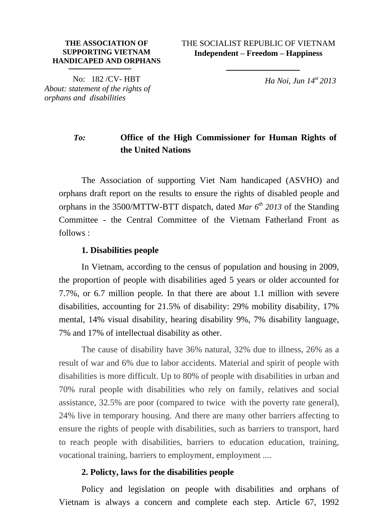THE SOCIALIST REPUBLIC OF VIETNAM **Independent – Freedom – Happiness**

No: 182 /CV- HBT *About: statement of the rights of orphans and disabilities*

*Ha Noi, Jun 14 st 2013*

## *To:* **Office of the High Commissioner for Human Rights of the United Nations**

The Association of supporting Viet Nam handicaped (ASVHO) and orphans draft report on the results to ensure the rights of disabled people and orphans in the 3500/MTTW-BTT dispatch, dated *Mar 6th 2013* of the Standing Committee - the Central Committee of the Vietnam Fatherland Front as follows :

#### **1. Disabilities people**

In Vietnam, according to the census of population and housing in 2009, the proportion of people with disabilities aged 5 years or older accounted for 7.7%, or 6.7 million people. In that there are about 1.1 million with severe disabilities, accounting for 21.5% of disability: 29% mobility disability, 17% mental, 14% visual disability, hearing disability 9%, 7% disability language, 7% and 17% of intellectual disability as other.

The cause of disability have 36% natural, 32% due to illness, 26% as a result of war and 6% due to labor accidents. Material and spirit of people with disabilities is more difficult. Up to 80% of people with disabilities in urban and 70% rural people with disabilities who rely on family, relatives and social assistance, 32.5% are poor (compared to twice with the poverty rate general), 24% live in temporary housing. And there are many other barriers affecting to ensure the rights of people with disabilities, such as barriers to transport, hard to reach people with disabilities, barriers to education education, training, vocational training, barriers to employment, employment ....

### **2. Policty, laws for the disabilities people**

Policy and legislation on people with disabilities and orphans of Vietnam is always a concern and complete each step. Article 67, 1992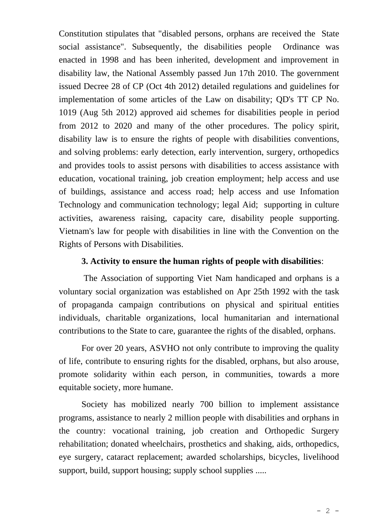Constitution stipulates that "disabled persons, orphans are received the State social assistance". Subsequently, the disabilities people Ordinance was enacted in 1998 and has been inherited, development and improvement in disability law, the National Assembly passed Jun 17th 2010. The government issued Decree 28 of CP (Oct 4th 2012) detailed regulations and guidelines for implementation of some articles of the Law on disability; QD's TT CP No. 1019 (Aug 5th 2012) approved aid schemes for disabilities people in period from 2012 to 2020 and many of the other procedures. The policy spirit, disability law is to ensure the rights of people with disabilities conventions, and solving problems: early detection, early intervention, surgery, orthopedics and provides tools to assist persons with disabilities to access assistance with education, vocational training, job creation employment; help access and use of buildings, assistance and access road; help access and use Infomation Technology and communication technology; legal Aid; supporting in culture activities, awareness raising, capacity care, disability people supporting. Vietnam's law for people with disabilities in line with the Convention on the Rights of Persons with Disabilities.

### **3. Activity to ensure the human rights of people with disabilities**:

The Association of supporting Viet Nam handicaped and orphans is a voluntary social organization was established on Apr 25th 1992 with the task of propaganda campaign contributions on physical and spiritual entities individuals, charitable organizations, local humanitarian and international contributions to the State to care, guarantee the rights of the disabled, orphans.

For over 20 years, ASVHO not only contribute to improving the quality of life, contribute to ensuring rights for the disabled, orphans, but also arouse, promote solidarity within each person, in communities, towards a more equitable society, more humane.

Society has mobilized nearly 700 billion to implement assistance programs, assistance to nearly 2 million people with disabilities and orphans in the country: vocational training, job creation and Orthopedic Surgery rehabilitation; donated wheelchairs, prosthetics and shaking, aids, orthopedics, eye surgery, cataract replacement; awarded scholarships, bicycles, livelihood support, build, support housing; supply school supplies .....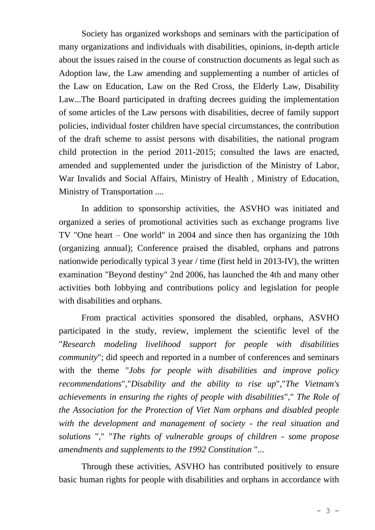Society has organized workshops and seminars with the participation of many organizations and individuals with disabilities, opinions, in-depth article about the issues raised in the course of construction documents as legal such as Adoption law, the Law amending and supplementing a number of articles of the Law on Education, Law on the Red Cross, the Elderly Law, Disability Law...The Board participated in drafting decrees guiding the implementation of some articles of the Law persons with disabilities, decree of family support policies, individual foster children have special circumstances, the contribution of the draft scheme to assist persons with disabilities, the national program child protection in the period 2011-2015; consulted the laws are enacted, amended and supplemented under the jurisdiction of the Ministry of Labor, War Invalids and Social Affairs, Ministry of Health , Ministry of Education, Ministry of Transportation ....

In addition to sponsorship activities, the ASVHO was initiated and organized a series of promotional activities such as exchange programs live TV "One heart – One world" in 2004 and since then has organizing the 10th (organizing annual); Conference praised the disabled, orphans and patrons nationwide periodically typical 3 year / time (first held in 2013-IV), the written examination "Beyond destiny" 2nd 2006, has launched the 4th and many other activities both lobbying and contributions policy and legislation for people with disabilities and orphans.

From practical activities sponsored the disabled, orphans, ASVHO participated in the study, review, implement the scientific level of the "*Research modeling livelihood support for people with disabilities community*"; did speech and reported in a number of conferences and seminars with the theme "*Jobs for people with disabilities and improve policy recommendations*","*Disability and the ability to rise up*","*The Vietnam's achievements in ensuring the rights of people with disabilities*"," *The Role of the Association for the Protection of Viet Nam orphans and disabled people with the development and management of society - the real situation and solutions* "," "*The rights of vulnerable groups of children - some propose amendments and supplements to the 1992 Constitution* "...

Through these activities, ASVHO has contributed positively to ensure basic human rights for people with disabilities and orphans in accordance with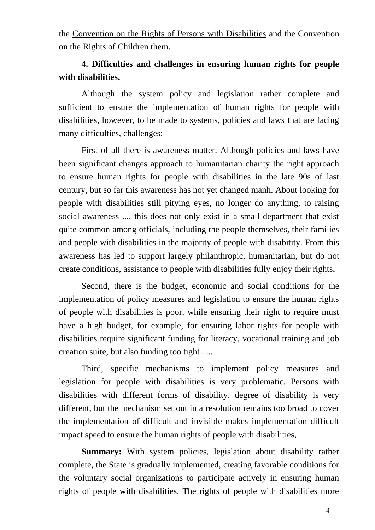the Convention on the Rights of Persons with Disabilities and the Convention on the Rights of Children them.

# **4. Difficulties and challenges in ensuring human rights for people with disabilities.**

Although the system policy and legislation rather complete and sufficient to ensure the implementation of human rights for people with disabilities, however, to be made to systems, policies and laws that are facing many difficulties, challenges:

First of all there is awareness matter. Although policies and laws have been significant changes approach to humanitarian charity the right approach to ensure human rights for people with disabilities in the late 90s of last century, but so far this awareness has not yet changed manh. About looking for people with disabilities still pitying eyes, no longer do anything, to raising social awareness .... this does not only exist in a small department that exist quite common among officials, including the people themselves, their families and people with disabilities in the majority of people with disabitity. From this awareness has led to support largely philanthropic, humanitarian, but do not create conditions, assistance to people with disabilities fully enjoy their rights**.**

Second, there is the budget, economic and social conditions for the implementation of policy measures and legislation to ensure the human rights of people with disabilities is poor, while ensuring their right to require must have a high budget, for example, for ensuring labor rights for people with disabilities require significant funding for literacy, vocational training and job creation suite, but also funding too tight .....

Third, specific mechanisms to implement policy measures and legislation for people with disabilities is very problematic. Persons with disabilities with different forms of disability, degree of disability is very different, but the mechanism set out in a resolution remains too broad to cover the implementation of difficult and invisible makes implementation difficult impact speed to ensure the human rights of people with disabilities,

**Summary:** With system policies, legislation about disability rather complete, the State is gradually implemented, creating favorable conditions for the voluntary social organizations to participate actively in ensuring human rights of people with disabilities. The rights of people with disabilities more